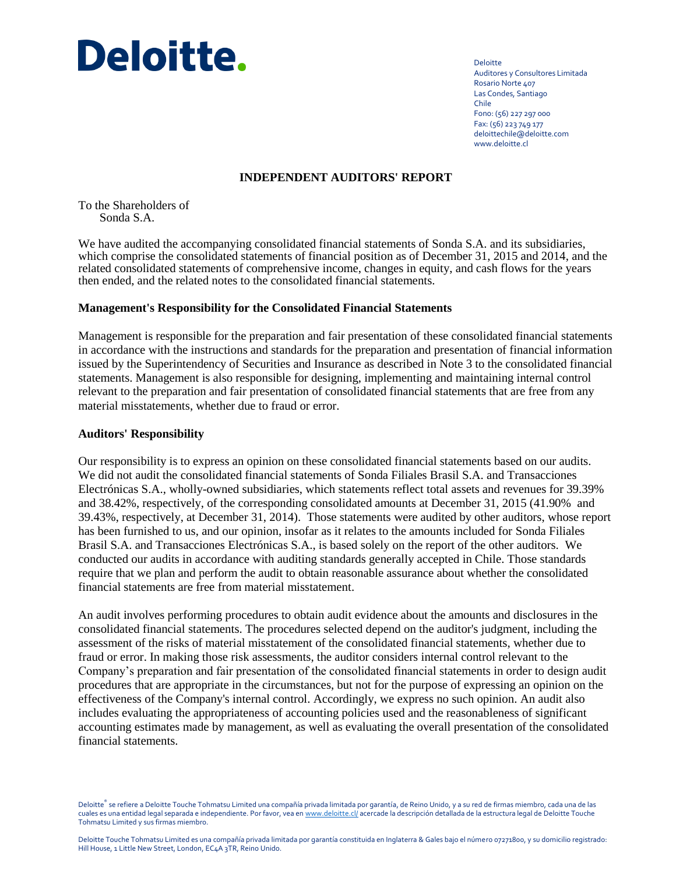

Deloitte Auditores y Consultores Limitada Rosario Norte 407 Las Condes, Santiago Chile Fono: (56) 227 297 000 Fax: (56) 223 749 177 deloittechile@deloitte.com www.deloitte.cl

### **INDEPENDENT AUDITORS' REPORT**

To the Shareholders of Sonda S.A.

We have audited the accompanying consolidated financial statements of Sonda S.A. and its subsidiaries, which comprise the consolidated statements of financial position as of December 31, 2015 and 2014, and the related consolidated statements of comprehensive income, changes in equity, and cash flows for the years then ended, and the related notes to the consolidated financial statements.

### **Management's Responsibility for the Consolidated Financial Statements**

Management is responsible for the preparation and fair presentation of these consolidated financial statements in accordance with the instructions and standards for the preparation and presentation of financial information issued by the Superintendency of Securities and Insurance as described in Note 3 to the consolidated financial statements. Management is also responsible for designing, implementing and maintaining internal control relevant to the preparation and fair presentation of consolidated financial statements that are free from any material misstatements, whether due to fraud or error.

### **Auditors' Responsibility**

Our responsibility is to express an opinion on these consolidated financial statements based on our audits. We did not audit the consolidated financial statements of Sonda Filiales Brasil S.A. and Transacciones Electrónicas S.A., wholly-owned subsidiaries, which statements reflect total assets and revenues for 39.39% and 38.42%, respectively, of the corresponding consolidated amounts at December 31, 2015 (41.90% and 39.43%, respectively, at December 31, 2014). Those statements were audited by other auditors, whose report has been furnished to us, and our opinion, insofar as it relates to the amounts included for Sonda Filiales Brasil S.A. and Transacciones Electrónicas S.A., is based solely on the report of the other auditors. We conducted our audits in accordance with auditing standards generally accepted in Chile. Those standards require that we plan and perform the audit to obtain reasonable assurance about whether the consolidated financial statements are free from material misstatement.

An audit involves performing procedures to obtain audit evidence about the amounts and disclosures in the consolidated financial statements. The procedures selected depend on the auditor's judgment, including the assessment of the risks of material misstatement of the consolidated financial statements, whether due to fraud or error. In making those risk assessments, the auditor considers internal control relevant to the Company's preparation and fair presentation of the consolidated financial statements in order to design audit procedures that are appropriate in the circumstances, but not for the purpose of expressing an opinion on the effectiveness of the Company's internal control. Accordingly, we express no such opinion. An audit also includes evaluating the appropriateness of accounting policies used and the reasonableness of significant accounting estimates made by management, as well as evaluating the overall presentation of the consolidated financial statements.

Deloitte® se refiere a Deloitte Touche Tohmatsu Limited una compañía privada limitada por garantía, de Reino Unido, y a su red de firmas miembro, cada una de las cuales es una entidad legal separada e independiente. Por favor, vea e[n www.deloitte.cl/](http://www.deloitte.cl/) acercade la descripción detallada de la estructura legal de Deloitte Touche Tohmatsu Limited y sus firmas miembro.